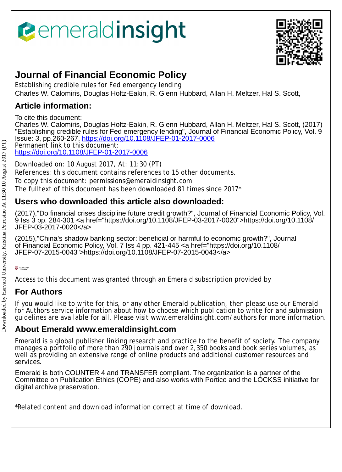# *<u><b>emeraldinsight</u>*



## **Journal of Financial Economic Policy**

Establishing credible rules for Fed emergency lending Charles W. Calomiris, Douglas Holtz-Eakin, R. Glenn Hubbard, Allan H. Meltzer, Hal S. Scott,

### **Article information:**

To cite this document:

Charles W. Calomiris, Douglas Holtz-Eakin, R. Glenn Hubbard, Allan H. Meltzer, Hal S. Scott, (2017) "Establishing credible rules for Fed emergency lending", Journal of Financial Economic Policy, Vol. 9 Issue: 3, pp.260-267,<https://doi.org/10.1108/JFEP-01-2017-0006> Permanent link to this document:

<https://doi.org/10.1108/JFEP-01-2017-0006>

Downloaded on: 10 August 2017, At: 11:30 (PT) References: this document contains references to 15 other documents.

To copy this document: permissions@emeraldinsight.com

The fulltext of this document has been downloaded 81 times since 2017\*

## **Users who downloaded this article also downloaded:**

(2017),"Do financial crises discipline future credit growth?", Journal of Financial Economic Policy, Vol. 9 Iss 3 pp. 284-301 <a href="https://doi.org/10.1108/JFEP-03-2017-0020">https://doi.org/10.1108/ JFEP-03-2017-0020</a>

(2015),"China's shadow banking sector: beneficial or harmful to economic growth?", Journal of Financial Economic Policy, Vol. 7 Iss 4 pp. 421-445 <a href="https://doi.org/10.1108/ JFEP-07-2015-0043">https://doi.org/10.1108/JFEP-07-2015-0043</a>

#### HARVARD

Access to this document was granted through an Emerald subscription provided by

## **For Authors**

If you would like to write for this, or any other Emerald publication, then please use our Emerald for Authors service information about how to choose which publication to write for and submission guidelines are available for all. Please visit www.emeraldinsight.com/authors for more information.

## **About Emerald www.emeraldinsight.com**

Emerald is a global publisher linking research and practice to the benefit of society. The company manages a portfolio of more than 290 journals and over 2,350 books and book series volumes, as well as providing an extensive range of online products and additional customer resources and services.

Emerald is both COUNTER 4 and TRANSFER compliant. The organization is a partner of the Committee on Publication Ethics (COPE) and also works with Portico and the LOCKSS initiative for digital archive preservation.

\*Related content and download information correct at time of download.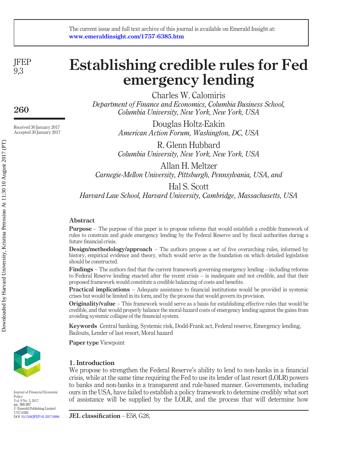JFEP 9,3

260

Received 30 January 2017 Accepted 30 January 2017

## Establishing credible rules for Fed emergency lending

Charles W. Calomiris Department of Finance and Economics, Columbia Business School, Columbia University, New York, New York, USA

> Douglas Holtz-Eakin American Action Forum, Washington, DC, USA

> R. Glenn Hubbard Columbia University, New York, New York, USA

Allan H. Meltzer Carnegie-Mellon University, Pittsburgh, Pennsylvania, USA, and

Hal S. Scott Harvard Law School, Harvard University, Cambridge, Massachusetts, USA

#### Abstract

Purpose – The purpose of this paper is to propose reforms that would establish a credible framework of rules to constrain and guide emergency lending by the Federal Reserve and by fiscal authorities during a future financial crisis.

Design/methodology/approach – The authors propose a set of five overarching rules, informed by history, empirical evidence and theory, which would serve as the foundation on which detailed legislation should be constructed.

Findings – The authors find that the current framework governing emergency lending – including reforms to Federal Reserve lending enacted after the recent crisis – is inadequate and not credible, and that their proposed framework would constitute a credible balancing of costs and benefits.

Practical implications – Adequate assistance to financial institutions would be provided in systemic crises but would be limited in its form, and by the process that would govern its provision.

**Originality/value** – This framework would serve as a basis for establishing effective rules that would be credible, and that would properly balance the moral-hazard costs of emergency lending against the gains from avoiding systemic collapse of the financial system.

Keywords Central banking, Systemic risk, Dodd-Frank act, Federal reserve, Emergency lending, Bailouts, Lender of last resort, Moral hazard

Paper type Viewpoint

#### 1. Introduction

We propose to strengthen the Federal Reserve's ability to lend to non-banks in a financial crisis, while at the same time requiring the Fed to use its lender of last resort (LOLR) powers to banks and non-banks in a transparent and rule-based manner. Governments, including ours in the USA, have failed to establish a policy framework to determine credibly what sort of assistance will be supplied by the LOLR, and the process that will determine how

JEL classification – E58, G28,



Journal of Financial Economic Policy Vol. 9 No. 3, 2017 pp. 260-267 © Emerald Publishing Limited 1757-6385 DOI [10.1108/JFEP-01-2017-0006](http://dx.doi.org/10.1108/JFEP-01-2017-0006)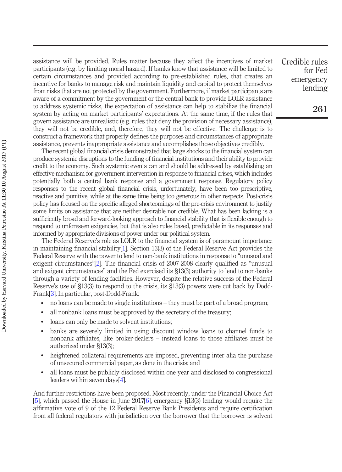assistance will be provided. Rules matter because they affect the incentives of market participants (e.g. by limiting moral hazard). If banks know that assistance will be limited to certain circumstances and provided according to pre-established rules, that creates an incentive for banks to manage risk and maintain liquidity and capital to protect themselves from risks that are not protected by the government. Furthermore, if market participants are aware of a commitment by the government or the central bank to provide LOLR assistance to address systemic risks, the expectation of assistance can help to stabilize the financial system by acting on market participants' expectations. At the same time, if the rules that govern assistance are unrealistic (e.g. rules that deny the provision of necessary assistance), they will not be credible, and, therefore, they will not be effective. The challenge is to construct a framework that properly defines the purposes and circumstances of appropriate assistance, prevents inappropriate assistance and accomplishes those objectives credibly.

The recent global financial crisis demonstrated that large shocks to the financial system can produce systemic disruptions to the funding of financial institutions and their ability to provide credit to the economy. Such systemic events can and should be addressed by establishing an effective mechanism for government intervention in response to financial crises, which includes potentially both a central bank response and a government response. Regulatory policy responses to the recent global financial crisis, unfortunately, have been too prescriptive, reactive and punitive, while at the same time being too generous in other respects. Post-crisis policy has focused on the specific alleged shortcomings of the pre-crisis environment to justify some limits on assistance that are neither desirable nor credible. What has been lacking is a sufficiently broad and forward-looking approach to financial stability that is flexible enough to respond to unforeseen exigencies, but that is also rules based, predictable in its responses and informed by appropriate divisions of power under our political system.

The Federal Reserve's role as LOLR to the financial system is of paramount importance in maintaining financial stability[[1\]](#page-6-0). Section 13(3) of the Federal Reserve Act provides the Federal Reserve with the power to lend to non-bank institutions in response to "unusual and exigent circumstances"[\[2](#page-6-1)]. The financial crisis of 2007-2008 clearly qualified as "unusual and exigent circumstances" and the Fed exercised its §13(3) authority to lend to non-banks through a variety of lending facilities. However, despite the relative success of the Federal Reserve's use of §13(3) to respond to the crisis, its §13(3) powers were cut back by Dodd-Frank[\[3\]](#page-7-0). In particular, post-Dodd-Frank:

- no loans can be made to single institutions they must be part of a broad program;
- all nonbank loans must be approved by the secretary of the treasury;
- loans can only be made to solvent institutions;
- banks are severely limited in using discount window loans to channel funds to nonbank affiliates, like broker-dealers – instead loans to those affiliates must be authorized under §13(3);
- heightened collateral requirements are imposed, preventing inter alia the purchase of unsecured commercial paper, as done in the crisis; and
- all loans must be publicly disclosed within one year and disclosed to congressional leaders within seven days[\[4\]](#page-7-1).

And further restrictions have been proposed. Most recently, under the Financial Choice Act [\[5\]](#page-7-2), which passed the House in June 2017[\[6\]](#page-7-3), emergency §13(3) lending would require the affirmative vote of 9 of the 12 Federal Reserve Bank Presidents and require certification from all federal regulators with jurisdiction over the borrower that the borrower is solvent Credible rules for Fed emergency lending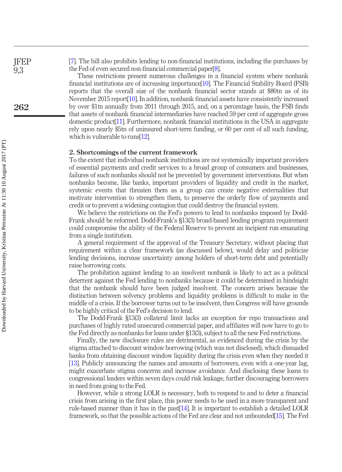[\[7\]](#page-7-4). The bill also prohibits lending to non-financial institutions, including the purchases by the Fed of even secured non-financial commercial paper[[8](#page-7-5)].

These restrictions present numerous challenges in a financial system where nonbank financial institutions are of increasing importance[[10\]](#page-7-6). The Financial Stability Board (FSB) reports that the overall size of the nonbank financial sector stands at \$80tn as of its November 2015 report[\[10\]](#page-7-7). In addition, nonbank financial assets have consistently increased by over \$1tn annually from 2011 through 2015, and, on a percentage basis, the FSB finds that assets of nonbank financial intermediaries have reached 59 per cent of aggregate gross domestic product[[11\]](#page-7-8). Furthermore, nonbank financial institutions in the USA in aggregate rely upon nearly \$5tn of uninsured short-term funding, or 60 per cent of all such funding, which is vulnerable to runs[[12](#page-7-9)].

#### 2. Shortcomings of the current framework

To the extent that individual nonbank institutions are not systemically important providers of essential payments and credit services to a broad group of consumers and businesses, failures of such nonbanks should not be prevented by government interventions. But when nonbanks become, like banks, important providers of liquidity and credit in the market, systemic events that threaten them as a group can create negative externalities that motivate intervention to strengthen them, to preserve the orderly flow of payments and credit or to prevent a widening contagion that could destroy the financial system.

We believe the restrictions on the Fed's powers to lend to nonbanks imposed by Dodd-Frank should be reformed. Dodd-Frank's §13(3) broad-based lending program requirement could compromise the ability of the Federal Reserve to prevent an incipient run emanating from a single institution.

A general requirement of the approval of the Treasury Secretary, without placing that requirement within a clear framework (as discussed below), would delay and politicize lending decisions, increase uncertainty among holders of short-term debt and potentially raise borrowing costs.

The prohibition against lending to an insolvent nonbank is likely to act as a political deterrent against the Fed lending to nonbanks because it could be determined in hindsight that the nonbank should have been judged insolvent. The concern arises because the distinction between solvency problems and liquidity problems is difficult to make in the middle of a crisis. If the borrower turns out to be insolvent, then Congress will have grounds to be highly critical of the Fed's decision to lend.

The Dodd-Frank §13(3) collateral limit lacks an exception for repo transactions and purchases of highly rated unsecured commercial paper, and affiliates will now have to go to the Fed directly as nonbanks for loans under §13(3), subject to all the new Fed restrictions.

Finally, the new disclosure rules are detrimental, as evidenced during the crisis by the stigma attached to discount window borrowing (which was not disclosed), which dissuaded banks from obtaining discount window liquidity during the crisis even when they needed it [\[13](#page-7-10)]. Publicly announcing the names and amounts of borrowers, even with a one-year lag, might exacerbate stigma concerns and increase avoidance. And disclosing these loans to congressional leaders within seven days could risk leakage, further discouraging borrowers in need from going to the Fed.

However, while a strong LOLR is necessary, both to respond to and to deter a financial crisis from arising in the first place, this power needs to be used in a more transparent and rule-based manner than it has in the past[\[14\]](#page-7-11). It is important to establish a detailed LOLR framework, so that the possible actions of the Fed are clear and not unbounded[\[15\]](#page-7-12). The Fed

JFEP 9,3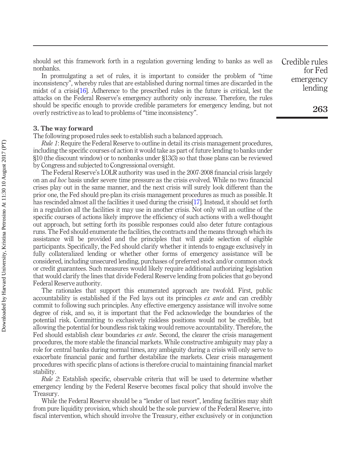should set this framework forth in a regulation governing lending to banks as well as nonbanks.

In promulgating a set of rules, it is important to consider the problem of "time inconsistency", whereby rules that are established during normal times are discarded in the midst of a crisis[\[16\]](#page-7-13). Adherence to the prescribed rules in the future is critical, lest the attacks on the Federal Reserve's emergency authority only increase. Therefore, the rules should be specific enough to provide credible parameters for emergency lending, but not overly restrictive as to lead to problems of"time inconsistency".

#### 3. The way forward

The following proposed rules seek to establish such a balanced approach.

Rule 1: Require the Federal Reserve to outline in detail its crisis management procedures, including the specific courses of action it would take as part of future lending to banks under §10 (the discount window) or to nonbanks under §13(3) so that those plans can be reviewed by Congress and subjected to Congressional oversight.

The Federal Reserve's LOLR authority was used in the 2007-2008 financial crisis largely on an ad hoc basis under severe time pressure as the crisis evolved. While no two financial crises play out in the same manner, and the next crisis will surely look different than the prior one, the Fed should pre-plan its crisis management procedures as much as possible. It has rescinded almost all the facilities it used during the crisis[\[17](#page-7-14)]. Instead, it should set forth in a regulation all the facilities it may use in another crisis. Not only will an outline of the specific courses of actions likely improve the efficiency of such actions with a well-thought out approach, but setting forth its possible responses could also deter future contagious runs. The Fed should enumerate the facilities, the contracts and the means through which its assistance will be provided and the principles that will guide selection of eligible participants. Specifically, the Fed should clarify whether it intends to engage exclusively in fully collateralized lending or whether other forms of emergency assistance will be considered, including unsecured lending, purchases of preferred stock and/or common stock or credit guarantees. Such measures would likely require additional authorizing legislation that would clarify the lines that divide Federal Reserve lending from policies that go beyond Federal Reserve authority.

The rationales that support this enumerated approach are twofold. First, public accountability is established if the Fed lays out its principles ex ante and can credibly commit to following such principles. Any effective emergency assistance will involve some degree of risk, and so, it is important that the Fed acknowledge the boundaries of the potential risk. Committing to exclusively riskless positions would not be credible, but allowing the potential for boundless risk taking would remove accountability. Therefore, the Fed should establish clear boundaries *ex ante*. Second, the clearer the crisis management procedures, the more stable the financial markets. While constructive ambiguity may play a role for central banks during normal times, any ambiguity during a crisis will only serve to exacerbate financial panic and further destabilize the markets. Clear crisis management procedures with specific plans of actions is therefore crucial to maintaining financial market stability.

*Rule 2*: Establish specific, observable criteria that will be used to determine whether emergency lending by the Federal Reserve becomes fiscal policy that should involve the Treasury.

While the Federal Reserve should be a "lender of last resort", lending facilities may shift from pure liquidity provision, which should be the sole purview of the Federal Reserve, into fiscal intervention, which should involve the Treasury, either exclusively or in conjunction

Credible rules for Fed emergency lending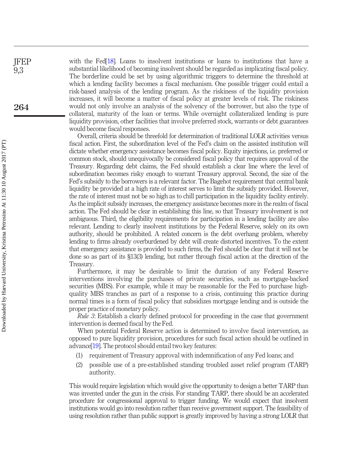with the Fed<sup>[[18\]](#page-7-15)</sup>. Loans to insolvent institutions or loans to institutions that have a substantial likelihood of becoming insolvent should be regarded as implicating fiscal policy. The borderline could be set by using algorithmic triggers to determine the threshold at which a lending facility becomes a fiscal mechanism. One possible trigger could entail a risk-based analysis of the lending program. As the riskiness of the liquidity provision increases, it will become a matter of fiscal policy at greater levels of risk. The riskiness would not only involve an analysis of the solvency of the borrower, but also the type of collateral, maturity of the loan or terms. While overnight collateralized lending is pure liquidity provision, other facilities that involve preferred stock, warrants or debt guarantees would become fiscal responses.

Overall, criteria should be threefold for determination of traditional LOLR activities versus fiscal action. First, the subordination level of the Fed's claim on the assisted institution will dictate whether emergency assistance becomes fiscal policy. Equity injections, i.e. preferred or common stock, should unequivocally be considered fiscal policy that requires approval of the Treasury. Regarding debt claims, the Fed should establish a clear line where the level of subordination becomes risky enough to warrant Treasury approval. Second, the size of the Fed's subsidy to the borrowers is a relevant factor. The Bagehot requirement that central bank liquidity be provided at a high rate of interest serves to limit the subsidy provided. However, the rate of interest must not be so high as to chill participation in the liquidity facility entirely. As the implicit subsidy increases, the emergency assistance becomes more in the realm of fiscal action. The Fed should be clear in establishing this line, so that Treasury involvement is not ambiguous. Third, the eligibility requirements for participation in a lending facility are also relevant. Lending to clearly insolvent institutions by the Federal Reserve, solely on its own authority, should be prohibited. A related concern is the debt overhang problem, whereby lending to firms already overburdened by debt will create distorted incentives. To the extent that emergency assistance is provided to such firms, the Fed should be clear that it will not be done so as part of its §13(3) lending, but rather through fiscal action at the direction of the Treasury.

Furthermore, it may be desirable to limit the duration of any Federal Reserve interventions involving the purchases of private securities, such as mortgage-backed securities (MBS). For example, while it may be reasonable for the Fed to purchase highquality MBS tranches as part of a response to a crisis, continuing this practice during normal times is a form of fiscal policy that subsidizes mortgage lending and is outside the proper practice of monetary policy.

*Rule 3*: Establish a clearly defined protocol for proceeding in the case that government intervention is deemed fiscal by the Fed.

When potential Federal Reserve action is determined to involve fiscal intervention, as opposed to pure liquidity provision, procedures for such fiscal action should be outlined in advance[[19](#page-7-16)]. The protocol should entail two key features:

- (1) requirement of Treasury approval with indemnification of any Fed loans; and
- (2) possible use of a pre-established standing troubled asset relief program (TARP) authority.

This would require legislation which would give the opportunity to design a better TARP than was invented under the gun in the crisis. For standing TARP, there should be an accelerated procedure for congressional approval to trigger funding. We would expect that insolvent institutions would go into resolution rather than receive government support. The feasibility of using resolution rather than public support is greatly improved by having a strong LOLR that

JFEP 9,3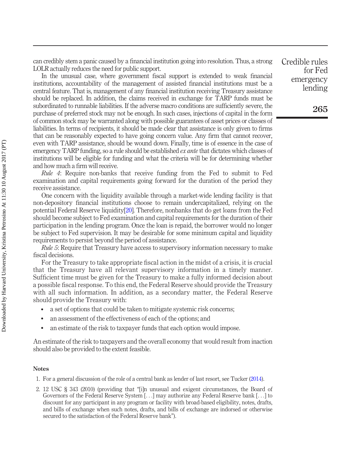can credibly stem a panic caused by a financial institution going into resolution. Thus, a strong LOLR actually reduces the need for public support.

In the unusual case, where government fiscal support is extended to weak financial institutions, accountability of the management of assisted financial institutions must be a central feature. That is, management of any financial institution receiving Treasury assistance should be replaced. In addition, the claims received in exchange for TARP funds must be subordinated to runnable liabilities. If the adverse macro conditions are sufficiently severe, the purchase of preferred stock may not be enough. In such cases, injections of capital in the form of common stock may be warranted along with possible guarantees of asset prices or classes of liabilities. In terms of recipients, it should be made clear that assistance is only given to firms that can be reasonably expected to have going concern value. Any firm that cannot recover, even with TARP assistance, should be wound down. Finally, time is of essence in the case of emergency TARP funding, so a rule should be established *ex ante* that dictates which classes of institutions will be eligible for funding and what the criteria will be for determining whether and how much a firm will receive.

Rule 4: Require non-banks that receive funding from the Fed to submit to Fed examination and capital requirements going forward for the duration of the period they receive assistance.

One concern with the liquidity available through a market-wide lending facility is that non-depository financial institutions choose to remain undercapitalized, relying on the potential Federal Reserve liquidity[\[20](#page-7-17)]. Therefore, nonbanks that do get loans from the Fed should become subject to Fed examination and capital requirements for the duration of their participation in the lending program. Once the loan is repaid, the borrower would no longer be subject to Fed supervision. It may be desirable for some minimum capital and liquidity requirements to persist beyond the period of assistance.

*Rule 5*: Require that Treasury have access to supervisory information necessary to make fiscal decisions.

For the Treasury to take appropriate fiscal action in the midst of a crisis, it is crucial that the Treasury have all relevant supervisory information in a timely manner. Sufficient time must be given for the Treasury to make a fully informed decision about a possible fiscal response. To this end, the Federal Reserve should provide the Treasury with all such information. In addition, as a secondary matter, the Federal Reserve should provide the Treasury with:

- a set of options that could be taken to mitigate systemic risk concerns;
- an assessment of the effectiveness of each of the options; and
- an estimate of the risk to taxpayer funds that each option would impose.

An estimate of the risk to taxpayers and the overall economy that would result from inaction should also be provided to the extent feasible.

#### Notes

- <span id="page-6-0"></span>1. For a general discussion of the role of a central bank as lender of last resort, see Tucker ([2014\)](#page-8-0).
- <span id="page-6-1"></span>2. 12 USC § 343 (2010) (providing that "[i]n unusual and exigent circumstances, the Board of Governors of the Federal Reserve System [...] may authorize any Federal Reserve bank [...] to discount for any participant in any program or facility with broad-based eligibility, notes, drafts, and bills of exchange when such notes, drafts, and bills of exchange are indorsed or otherwise secured to the satisfaction of the Federal Reserve bank").

Credible rules for Fed emergency lending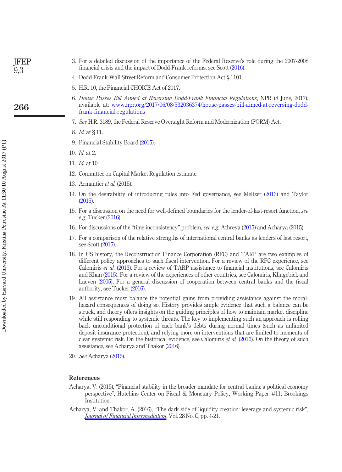<span id="page-7-12"></span><span id="page-7-11"></span><span id="page-7-10"></span><span id="page-7-9"></span><span id="page-7-8"></span><span id="page-7-7"></span><span id="page-7-6"></span><span id="page-7-5"></span><span id="page-7-4"></span><span id="page-7-3"></span><span id="page-7-2"></span><span id="page-7-1"></span><span id="page-7-0"></span>

| <b>JFEP</b><br>9,3 | 3. For a detailed discussion of the importance of the Federal Reserve's role during the 2007-2008<br>financial crisis and the impact of Dodd-Frank reforms, see Scott (2016).                                                                                                                                                                                                                                                                                                                                                                                                                                                                                                                                                                                |
|--------------------|--------------------------------------------------------------------------------------------------------------------------------------------------------------------------------------------------------------------------------------------------------------------------------------------------------------------------------------------------------------------------------------------------------------------------------------------------------------------------------------------------------------------------------------------------------------------------------------------------------------------------------------------------------------------------------------------------------------------------------------------------------------|
|                    | 4. Dodd-Frank Wall Street Reform and Consumer Protection Act § 1101.                                                                                                                                                                                                                                                                                                                                                                                                                                                                                                                                                                                                                                                                                         |
|                    | 5. H.R. 10, the Financial CHOICE Act of 2017.                                                                                                                                                                                                                                                                                                                                                                                                                                                                                                                                                                                                                                                                                                                |
| 266                | 6. House Passes Bill Aimed at Reversing Dodd-Frank Financial Regulations, NPR (8 June, 2017),<br>available at: www.npr.org/2017/06/08/532036374/house-passes-bill-aimed-at-reversing-dodd-<br>frank-financial-regulations                                                                                                                                                                                                                                                                                                                                                                                                                                                                                                                                    |
|                    | 7. See H.R. 3189, the Federal Reserve Oversight Reform and Modernization (FORM) Act.                                                                                                                                                                                                                                                                                                                                                                                                                                                                                                                                                                                                                                                                         |
|                    | 8. <i>Id.</i> at § 11.                                                                                                                                                                                                                                                                                                                                                                                                                                                                                                                                                                                                                                                                                                                                       |
|                    | 9. Financial Stability Board (2015).                                                                                                                                                                                                                                                                                                                                                                                                                                                                                                                                                                                                                                                                                                                         |
|                    | 10. <i>Id.</i> at 2.                                                                                                                                                                                                                                                                                                                                                                                                                                                                                                                                                                                                                                                                                                                                         |
|                    | 11. <i>Id.</i> at 10.                                                                                                                                                                                                                                                                                                                                                                                                                                                                                                                                                                                                                                                                                                                                        |
|                    | 12. Committee on Capital Market Regulation estimate.                                                                                                                                                                                                                                                                                                                                                                                                                                                                                                                                                                                                                                                                                                         |
|                    | 13. Armantier <i>et al.</i> (2015).                                                                                                                                                                                                                                                                                                                                                                                                                                                                                                                                                                                                                                                                                                                          |
|                    | 14. On the desirability of introducing rules into Fed governance, see Meltzer (2013) and Taylor<br>(2015).                                                                                                                                                                                                                                                                                                                                                                                                                                                                                                                                                                                                                                                   |
|                    | 15. For a discussion on the need for well-defined boundaries for the lender-of-last-resort function, see<br>e.g. Tucker (2016).                                                                                                                                                                                                                                                                                                                                                                                                                                                                                                                                                                                                                              |
|                    | 16. For discussions of the "time inconsistency" problem, see e.g. Athreya (2015) and Acharya (2015).                                                                                                                                                                                                                                                                                                                                                                                                                                                                                                                                                                                                                                                         |
|                    | 17. For a comparison of the relative strengths of international central banks as lenders of last resort,<br>see Scott (2015).                                                                                                                                                                                                                                                                                                                                                                                                                                                                                                                                                                                                                                |
|                    | 18. In US history, the Reconstruction Finance Corporation (RFC) and TARP are two examples of<br>different policy approaches to such fiscal intervention. For a review of the RFC experience, see<br>Calomiris <i>et al.</i> (2013). For a review of TARP assistance to financial institutions, see Calomiris<br>and Khan (2015). For a review of the experiences of other countries, see Calomiris, Klingebiel, and<br>Laeven (2005). For a general discussion of cooperation between central banks and the fiscal<br>authority, see Tucker (2016).                                                                                                                                                                                                          |
|                    | 19. All assistance must balance the potential gains from providing assistance against the moral-<br>hazard consequences of doing so. History provides ample evidence that such a balance can be<br>struck, and theory offers insights on the guiding principles of how to maintain market discipline<br>while still responding to systemic threats. The key to implementing such an approach is rolling<br>back unconditional protection of each bank's debts during normal times (such as unlimited<br>deposit insurance protection), and relying more on interventions that are limited to moments of<br>clear systemic risk. On the historical evidence, see Calomiris et al. (2016). On the theory of such<br>assistance, see Acharya and Thakor (2016). |
|                    | 20. See Acharya (2015).                                                                                                                                                                                                                                                                                                                                                                                                                                                                                                                                                                                                                                                                                                                                      |
|                    |                                                                                                                                                                                                                                                                                                                                                                                                                                                                                                                                                                                                                                                                                                                                                              |
|                    | References                                                                                                                                                                                                                                                                                                                                                                                                                                                                                                                                                                                                                                                                                                                                                   |
|                    | Acharya, V. (2015), "Financial stability in the broader mandate for central banks: a political economy<br>perspective", Hutchins Center on Fiscal & Monetary Policy, Working Paper #11, Brookings                                                                                                                                                                                                                                                                                                                                                                                                                                                                                                                                                            |

<span id="page-7-19"></span>Acharya, V. and Thakor, A. (2016), "The dark side of liquidity creation: leverage and systemic risk", [Journal of Financial Intermediation](http://www.emeraldinsight.com/action/showLinks?doi=10.1108%2FJFEP-01-2017-0006&crossref=10.1016%2Fj.jfi.2016.08.004&isi=000390615800002&citationId=p_2), Vol. 28 No. C, pp. 4-21.

<span id="page-7-18"></span><span id="page-7-17"></span><span id="page-7-16"></span><span id="page-7-15"></span><span id="page-7-14"></span><span id="page-7-13"></span>Institution.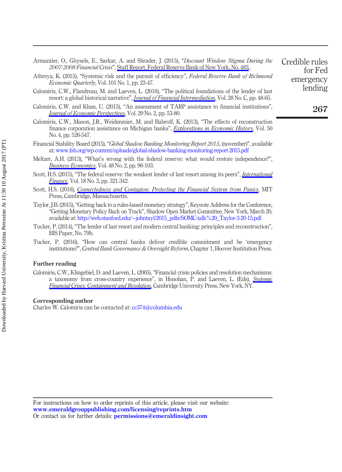- <span id="page-8-3"></span>Armantier, O., Ghysels, E., Sarkar, A. and Shrader, J. (2015), "Discount Window Stigma During the 2007-2008 Financial Crisis", [Staff Report, Federal Reserve Bank of New York, No. 483,](http://www.emeraldinsight.com/action/showLinks?doi=10.1108%2FJFEP-01-2017-0006&crossref=10.1016%2Fj.jfineco.2015.08.006&citationId=p_3).
- <span id="page-8-7"></span>Athreya, K. (2015), "Systemic risk and the pursuit of efficiency", Federal Reserve Bank of Richmond Economic Quarterly, Vol. 101 No. 1, pp. 23-47.
- <span id="page-8-12"></span>Calomiris, C.W., Flandreau, M. and Laeven, L. (2016), "The political foundations of the lender of last resort: a global historical narrative", *[Journal of Financial Intermediation](http://www.emeraldinsight.com/action/showLinks?doi=10.1108%2FJFEP-01-2017-0006&crossref=10.1016%2Fj.jfi.2016.09.002&isi=000390615800005&citationId=p_5)*, Vol. 28 No. C, pp. 48-65.
- <span id="page-8-10"></span>Calomiris, C.W. and Khan, U. (2015), "An assessment of TARP assistance to financial institutions", [Journal of Economic Perspectives](http://www.emeraldinsight.com/action/showLinks?doi=10.1108%2FJFEP-01-2017-0006&crossref=10.1257%2Fjep.29.2.53&isi=000354218500003&citationId=p_6), Vol. 29 No. 2, pp. 53-80.
- <span id="page-8-9"></span>Calomiris, C.W., Mason, J.R., Weidenmier, M. and Babroff, K. (2013), "The effects of reconstruction finance corporation assistance on Michigan banks", [Explorations in Economic History](http://www.emeraldinsight.com/action/showLinks?doi=10.1108%2FJFEP-01-2017-0006&crossref=10.1016%2Fj.eeh.2013.07.006&isi=000327229200005&citationId=p_7), Vol. 50 No. 4, pp. 526-547.
- <span id="page-8-2"></span>Financial Stability Board (2015), "Global Shadow Banking Monitoring Report 2015, (november)", available at: [www.fsb.org/wp-content/uploads/global-shadow-banking-monitoring-report-2015.pdf](http://www.fsb.org/wp-content/uploads/global-shadow-banking-monitoring-report-2015.pdf)
- <span id="page-8-4"></span>Meltzer, A.H. (2013), "What's wrong with the federal reserve: what would restore independence?", [Business Economics](http://www.emeraldinsight.com/action/showLinks?doi=10.1108%2FJFEP-01-2017-0006&crossref=10.1057%2Fbe.2013.7&citationId=p_9), Vol. 48 No. 2, pp. 96-103.
- <span id="page-8-8"></span>Scott, H.S. (2015), "The federal reserve: the weakest lender of last resort among its peers", *[International](http://www.emeraldinsight.com/action/showLinks?doi=10.1108%2FJFEP-01-2017-0006&crossref=10.1111%2Finfi.12075&isi=000367178700004&citationId=p_10) [Finance](http://www.emeraldinsight.com/action/showLinks?doi=10.1108%2FJFEP-01-2017-0006&crossref=10.1111%2Finfi.12075&isi=000367178700004&citationId=p_10)*, Vol. 18 No. 3, pp. 321-342.
- <span id="page-8-1"></span>Scott, H.S. (2016), *[Connectedness and Contagion: Protecting the Financial System from Panics](http://www.emeraldinsight.com/action/showLinks?doi=10.1108%2FJFEP-01-2017-0006&crossref=10.7551%2Fmitpress%2F9780262034371.001.0001&citationId=p_11)*, MIT Press, Cambridge, Massachusetts.
- <span id="page-8-5"></span>Taylor, J.B. (2015),"Getting back to a rules-based monetary strategy", Keynote Address for the Conference, "Getting Monetary Policy Back on Track", Shadow Open Market Committee, New York, March 20, available at: http://web.stanford.edu/~[johntayl/2015\\_pdfs/SOMC-talk%20\\_Taylor-3-20-15.pdf](http://web.stanford.edu/&hx223C;johntayl/2015_pdfs/SOMC-talk&hx0025;20_Taylor-3-20-15.pdf)
- <span id="page-8-0"></span>Tucker, P. (2014),"The lender of last resort and modern central banking: principles and reconstruction", BIS Paper, No. 79b.
- <span id="page-8-6"></span>Tucker, P. (2016), "How can central banks deliver credible commitment and be 'emergency institutions?", Central Bank Governance & Oversight Reform, Chapter 1, Hoover Institution Press.

#### Further reading

<span id="page-8-11"></span>Calomiris, C.W., Klingebiel, D. and Laeven, L. (2005), "Financial crisis policies and resolution mechanisms: a taxonomy from cross-country experience", in Honohan, P. and Laeven, L. (Eds), [Systemic](http://www.emeraldinsight.com/action/showLinks?doi=10.1108%2FJFEP-01-2017-0006&crossref=10.1017%2FCBO9780511528521.003&citationId=p_15) [Financial Crises: Containment and Resolution](http://www.emeraldinsight.com/action/showLinks?doi=10.1108%2FJFEP-01-2017-0006&crossref=10.1017%2FCBO9780511528521.003&citationId=p_15), Cambridge University Press, New York, NY.

#### Corresponding author

Charles W. Calomiris can be contacted at: [cc374@columbia.edu](mailto:cc374@columbia.edu)

For instructions on how to order reprints of this article, please visit our website: www.emeraldgrouppublishing.com/licensing/reprints.htm Or contact us for further details: **permissions@emeraldinsight.com**